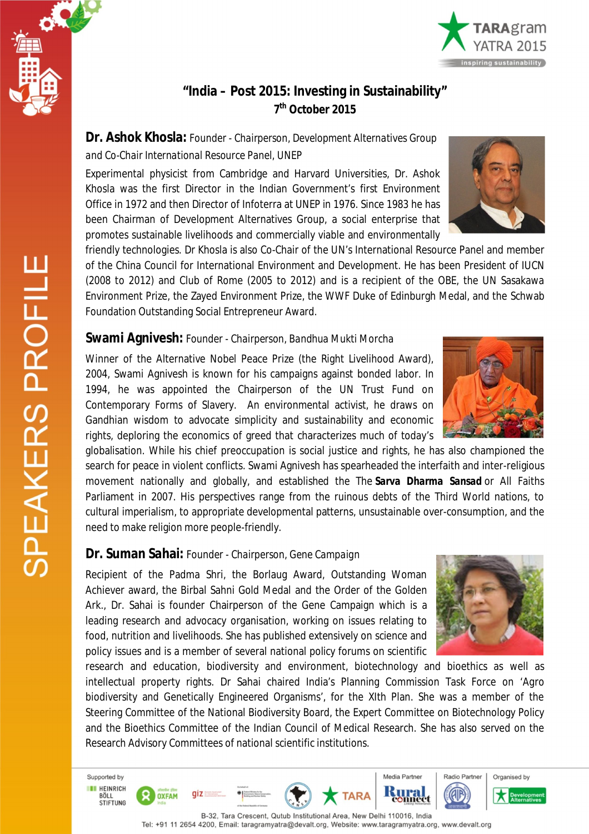



# **"India – Post 2015: Investing in Sustainability" 7 th October 2015**

**Dr. Ashok Khosla:** *Founder - Chairperson, Development Alternatives Group and Co-Chair International Resource Panel, UNEP*

Experimental physicist from Cambridge and Harvard Universities, Dr. Ashok Khosla was the first Director in the Indian Government's first Environment Office in 1972 and then Director of Infoterra at UNEP in 1976. Since 1983 he has been Chairman of Development Alternatives Group, a social enterprise that promotes sustainable livelihoods and commercially viable and environmentally



friendly technologies. Dr Khosla is also Co-Chair of the UN's International Resource Panel and member of the China Council for International Environment and Development. He has been President of IUCN (2008 to 2012) and Club of Rome (2005 to 2012) and is a recipient of the OBE, the UN Sasakawa Environment Prize, the Zayed Environment Prize, the WWF Duke of Edinburgh Medal, and the Schwab Foundation Outstanding Social Entrepreneur Award.

# **Swami Agnivesh:** *Founder - Chairperson, Bandhua Mukti Morcha*

Winner of the Alternative Nobel Peace Prize (the Right Livelihood Award), 2004, Swami Agnivesh is known for his campaigns against bonded labor. In 1994, he was appointed the Chairperson of the UN Trust Fund on Contemporary Forms of Slavery. An environmental activist, he draws on Gandhian wisdom to advocate simplicity and sustainability and economic rights, deploring the economics of greed that characterizes much of today's

globalisation. While his chief preoccupation is social justice and rights, he has also championed the search for peace in violent conflicts. Swami Agnivesh has spearheaded the interfaith and inter-religious movement nationally and globally, and established the The *Sarva Dharma Sansad* or All Faiths Parliament in 2007. His perspectives range from the ruinous debts of the Third World nations, to cultural imperialism, to appropriate developmental patterns, unsustainable over-consumption, and the need to make religion more people-friendly.

# **Dr. Suman Sahai:** *Founder - Chairperson, Gene Campaign*

 $\mathsf{diz}$ 

**OXFAM** 

Recipient of the Padma Shri, the Borlaug Award, Outstanding Woman Achiever award, the Birbal Sahni Gold Medal and the Order of the Golden Ark., Dr. Sahai is founder Chairperson of the Gene Campaign which is a leading research and advocacy organisation, working on issues relating to food, nutrition and livelihoods. She has published extensively on science and policy issues and is a member of several national policy forums on scientific



research and education, biodiversity and environment, biotechnology and bioethics as well as intellectual property rights. Dr Sahai chaired India's Planning Commission Task Force on 'Agro biodiversity and Genetically Engineered Organisms', for the XIth Plan. She was a member of the Steering Committee of the National Biodiversity Board, the Expert Committee on Biotechnology Policy and the Bioethics Committee of the Indian Council of Medical Research. She has also served on the Research Advisory Committees of national scientific institutions.

SPEAKERS PROFILE

Supported by

**ET HEINRICH** 

BÖLL<br>STIFTUNG

B-32, Tara Crescent, Qutub Institutional Area, New Delhi 110016, India Tel: +91 11 2654 4200, Email: taragramyatra@devalt.org, Website: www.taragramyatra.org, www.devalt.org

**TARA** 

Media Partner

**Kural**<br>connect

COP

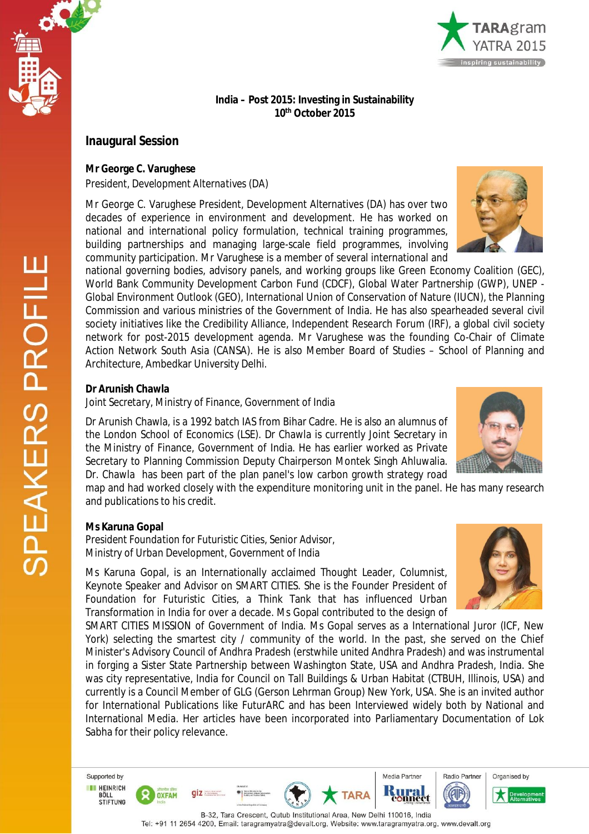



### **India – Post 2015: Investing in Sustainability 10th October 2015**

# **Inaugural Session**

**Mr George C. Varughese**

*President, Development Alternatives (DA)*

Mr George C. Varughese President, Development Alternatives (DA) has over two decades of experience in environment and development. He has worked on national and international policy formulation, technical training programmes, building partnerships and managing large-scale field programmes, involving community participation. Mr Varughese is a member of several international and



national governing bodies, advisory panels, and working groups like Green Economy Coalition (GEC), World Bank Community Development Carbon Fund (CDCF), Global Water Partnership (GWP), UNEP - Global Environment Outlook (GEO), International Union of Conservation of Nature (IUCN), the Planning Commission and various ministries of the Government of India. He has also spearheaded several civil society initiatives like the Credibility Alliance, Independent Research Forum (IRF), a global civil society network for post-2015 development agenda. Mr Varughese was the founding Co-Chair of Climate Action Network South Asia (CANSA). He is also Member Board of Studies – School of Planning and Architecture, Ambedkar University Delhi.

## **Dr Arunish Chawla**

*Joint Secretary, Ministry of Finance, Government of India*

Dr Arunish Chawla, is a 1992 batch IAS from Bihar Cadre. He is also an alumnus of the London School of Economics (LSE). Dr Chawla is currently Joint Secretary in the Ministry of Finance, Government of India. He has earlier worked as Private Secretary to Planning Commission Deputy Chairperson Montek Singh Ahluwalia. Dr. Chawla has been part of the plan panel's low carbon growth strategy road

map and had worked closely with the expenditure monitoring unit in the panel. He has many research and publications to his credit.

# **Ms Karuna Gopal**

*President Foundation for Futuristic Cities, Senior Advisor, Ministry of Urban Development, Government of India* 

Ms Karuna Gopal, is an Internationally acclaimed Thought Leader, Columnist, Keynote Speaker and Advisor on SMART CITIES. She is the Founder President of Foundation for Futuristic Cities, a Think Tank that has influenced Urban Transformation in India for over a decade. Ms Gopal contributed to the design of

SMART CITIES MISSION of Government of India. Ms Gopal serves as a International Juror (ICF, New York) selecting the smartest city / community of the world. In the past, she served on the Chief Minister's Advisory Council of Andhra Pradesh (erstwhile united Andhra Pradesh) and was instrumental in forging a Sister State Partnership between Washington State, USA and Andhra Pradesh, India. She was city representative, India for Council on Tall Buildings & Urban Habitat (CTBUH, Illinois, USA) and currently is a Council Member of GLG (Gerson Lehrman Group) New York, USA. She is an invited author for International Publications like FuturARC and has been Interviewed widely both by National and International Media. Her articles have been incorporated into Parliamentary Documentation of Lok Sabha for their policy relevance.

Supported by **IN HEINRICH** BÖLL<br>STIFTUNG

**OXFAM** 











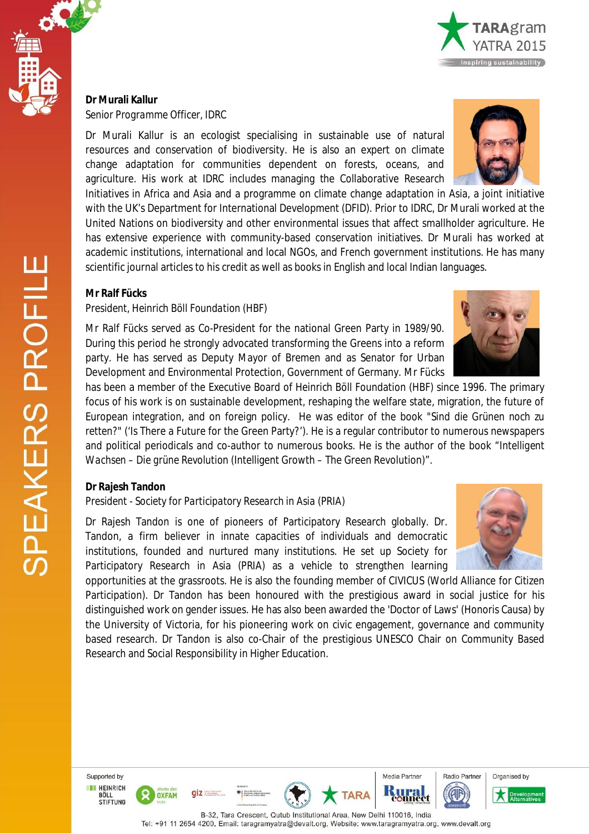#### **Dr Murali Kallur** *Senior Programme Officer, IDRC*

Dr Murali Kallur is an ecologist specialising in sustainable use of natural resources and conservation of biodiversity. He is also an expert on climate change adaptation for communities dependent on forests, oceans, and agriculture. His work at IDRC includes managing the Collaborative Research

Initiatives in Africa and Asia and a programme on climate change adaptation in Asia, a joint initiative with the UK's Department for International Development (DFID). Prior to IDRC, Dr Murali worked at the United Nations on biodiversity and other environmental issues that affect smallholder agriculture. He has extensive experience with community-based conservation initiatives. Dr Murali has worked at academic institutions, international and local NGOs, and French government institutions. He has many scientific journal articles to his credit as well as books in English and local Indian languages.

## **Mr Ralf Fücks**

#### *President, Heinrich Böll Foundation (HBF)*

Mr Ralf Fücks served as Co-President for the national Green Party in 1989/90. During this period he strongly advocated transforming the Greens into a reform party. He has served as Deputy Mayor of Bremen and as Senator for Urban Development and Environmental Protection, Government of Germany. Mr Fücks

has been a member of the Executive Board of Heinrich Böll Foundation (HBF) since 1996. The primary focus of his work is on sustainable development, reshaping the welfare state, migration, the future of European integration, and on foreign policy. He was editor of the book "*Sind die Grünen noch zu retten?*" ('Is There a Future for the Green Party?'). He is a regular contributor to numerous newspapers and political periodicals and co-author to numerous books. He is the author of the book "*Intelligent Wachsen – Die grüne Revolution* (Intelligent Growth – The Green Revolution)".

### **Dr Rajesh Tandon**

*President - Society for Participatory Research in Asia (PRIA)*

Dr Rajesh Tandon is one of pioneers of Participatory Research globally. Dr. Tandon, a firm believer in innate capacities of individuals and democratic institutions, founded and nurtured many institutions. He set up Society for Participatory Research in Asia (PRIA) as a vehicle to strengthen learning

opportunities at the grassroots. He is also the founding member of CIVICUS (World Alliance for Citizen Participation). Dr Tandon has been honoured with the prestigious award in social justice for his distinguished work on gender issues. He has also been awarded the 'Doctor of Laws' (Honoris Causa) by the University of Victoria, for his pioneering work on civic engagement, governance and community based research. Dr Tandon is also co-Chair of the prestigious UNESCO Chair on Community Based Research and Social Responsibility in Higher Education.

Supported by **EXPLAINER** BÖLL<br>STIFTUNG

> B-32, Tara Crescent, Qutub Institutional Area, New Delhi 110016, India Tel: +91 11 2654 4200, Email: taragramyatra@devalt.org, Website: www.taragramyatra.org, www.devalt.org











 $giz = z$ 

**OXFAM** 



Media Partner

**AF**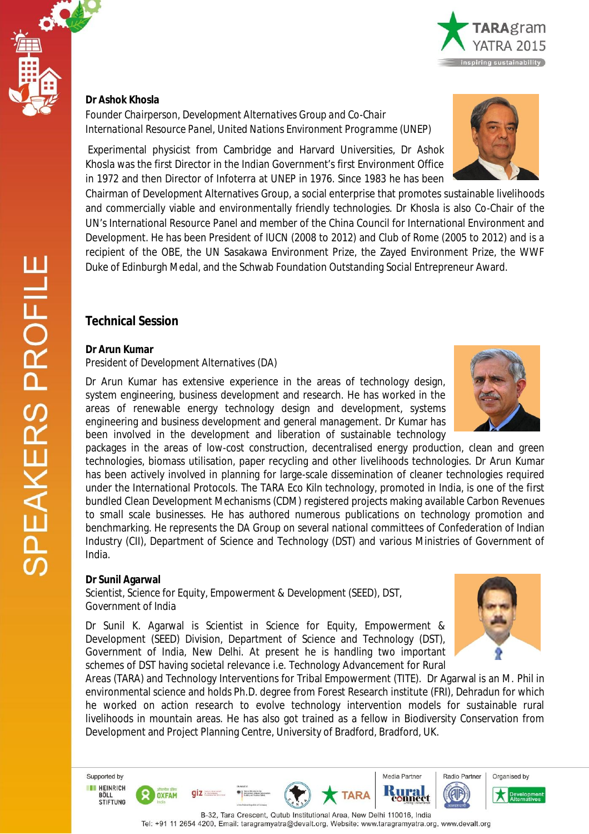

*Founder Chairperson, Development Alternatives Group and Co-Chair International Resource Panel, United Nations Environment Programme (UNEP)*

Experimental physicist from Cambridge and Harvard Universities, Dr Ashok Khosla was the first Director in the Indian Government's first Environment Office in 1972 and then Director of Infoterra at UNEP in 1976. Since 1983 he has been

Chairman of Development Alternatives Group, a social enterprise that promotes sustainable livelihoods and commercially viable and environmentally friendly technologies. Dr Khosla is also Co-Chair of the UN's International Resource Panel and member of the China Council for International Environment and Development. He has been President of IUCN (2008 to 2012) and Club of Rome (2005 to 2012) and is a recipient of the OBE, the UN Sasakawa Environment Prize, the Zayed Environment Prize, the WWF Duke of Edinburgh Medal, and the Schwab Foundation Outstanding Social Entrepreneur Award.

# **Technical Session**

#### **Dr Arun Kumar**

#### *President of Development Alternatives (DA)*

Dr Arun Kumar has extensive experience in the areas of technology design, system engineering, business development and research. He has worked in the areas of renewable energy technology design and development, systems engineering and business development and general management. Dr Kumar has been involved in the development and liberation of sustainable technology

packages in the areas of low-cost construction, decentralised energy production, clean and green technologies, biomass utilisation, paper recycling and other livelihoods technologies. Dr Arun Kumar has been actively involved in planning for large-scale dissemination of cleaner technologies required under the International Protocols. The TARA Eco Kiln technology, promoted in India, is one of the first bundled Clean Development Mechanisms (CDM) registered projects making available Carbon Revenues to small scale businesses. He has authored numerous publications on technology promotion and benchmarking. He represents the DA Group on several national committees of Confederation of Indian Industry (CII), Department of Science and Technology (DST) and various Ministries of Government of India.

### **Dr Sunil Agarwal**

*Scientist, Science for Equity, Empowerment & Development (SEED), DST, Government of India*

 $q\bar{z}$ 

**OXFAM** 

Dr Sunil K. Agarwal is Scientist in Science for Equity, Empowerment & Development (SEED) Division, Department of Science and Technology (DST), Government of India, New Delhi. At present he is handling two important schemes of DST having societal relevance i.e. Technology Advancement for Rural

Areas (TARA) and Technology Interventions for Tribal Empowerment (TITE). Dr Agarwal is an M. Phil in environmental science and holds Ph.D. degree from Forest Research institute (FRI), Dehradun for which he worked on action research to evolve technology intervention models for sustainable rural livelihoods in mountain areas. He has also got trained as a fellow in Biodiversity Conservation from Development and Project Planning Centre, University of Bradford, Bradford, UK.

Supported by **IN HEINRICH** BÖLL<br>STIFTUNG

> B-32, Tara Crescent, Qutub Institutional Area, New Delhi 110016, India Tel: +91 11 2654 4200, Email: taragramyatra@devalt.org, Website: www.taragramyatra.org, www.devalt.org

**TARA**